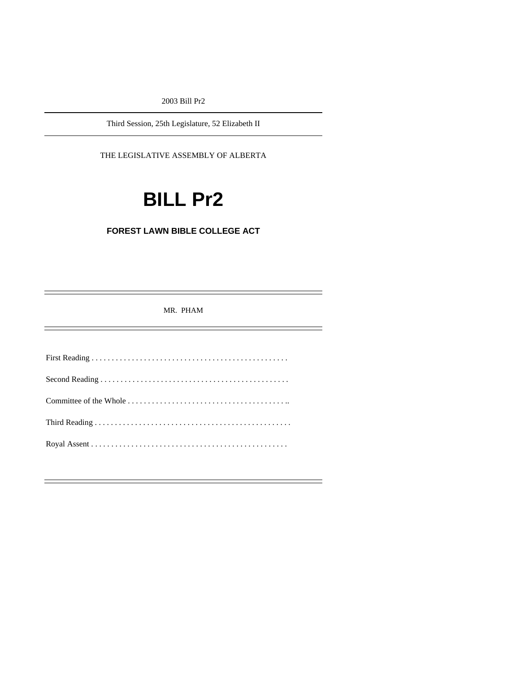2003 Bill Pr2

Third Session, 25th Legislature, 52 Elizabeth II

THE LEGISLATIVE ASSEMBLY OF ALBERTA

# **BILL Pr2**

**FOREST LAWN BIBLE COLLEGE ACT** 

MR. PHAM

First Reading . . . . . . . . . . . . . . . . . . . . . . . . . . . . . . . . . . . . . . . . . . . . . . . . . Second Reading . . . . . . . . . . . . . . . . . . . . . . . . . . . . . . . . . . . . . . . . . . . . . . . Committee of the Whole . . . . . . . . . . . . . . . . . . . . . . . . . . . . . . . . . . . . . . . .. Third Reading . . . . . . . . . . . . . . . . . . . . . . . . . . . . . . . . . . . . . . . . . . . . . . . . . Royal Assent . . . . . . . . . . . . . . . . . . . . . . . . . . . . . . . . . . . . . . . . . . . . . . . . .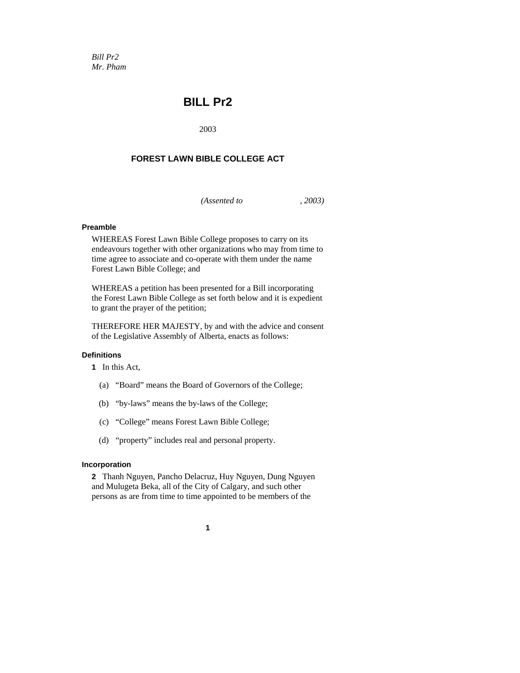*Bill Pr2 Mr. Pham* 

# **BILL Pr2**

2003

# **FOREST LAWN BIBLE COLLEGE ACT**

*(Assented to , 2003)* 

# **Preamble**

WHEREAS Forest Lawn Bible College proposes to carry on its endeavours together with other organizations who may from time to time agree to associate and co-operate with them under the name Forest Lawn Bible College; and

WHEREAS a petition has been presented for a Bill incorporating the Forest Lawn Bible College as set forth below and it is expedient to grant the prayer of the petition;

THEREFORE HER MAJESTY, by and with the advice and consent of the Legislative Assembly of Alberta, enacts as follows:

# **Definitions**

**1** In this Act,

- (a) "Board" means the Board of Governors of the College;
- (b) "by-laws" means the by-laws of the College;
- (c) "College" means Forest Lawn Bible College;
- (d) "property" includes real and personal property.

#### **Incorporation**

**2** Thanh Nguyen, Pancho Delacruz, Huy Nguyen, Dung Nguyen and Mulugeta Beka, all of the City of Calgary, and such other persons as are from time to time appointed to be members of the

**1**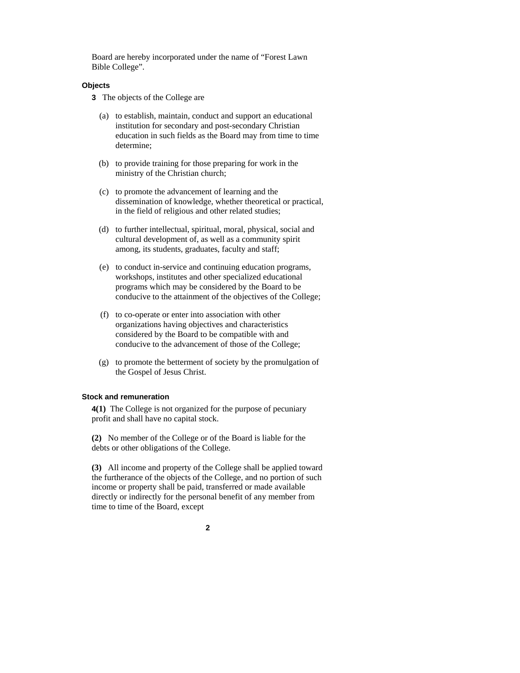Board are hereby incorporated under the name of "Forest Lawn Bible College".

#### **Objects**

- **3** The objects of the College are
	- (a) to establish, maintain, conduct and support an educational institution for secondary and post-secondary Christian education in such fields as the Board may from time to time determine;
	- (b) to provide training for those preparing for work in the ministry of the Christian church;
	- (c) to promote the advancement of learning and the dissemination of knowledge, whether theoretical or practical, in the field of religious and other related studies;
	- (d) to further intellectual, spiritual, moral, physical, social and cultural development of, as well as a community spirit among, its students, graduates, faculty and staff;
	- (e) to conduct in-service and continuing education programs, workshops, institutes and other specialized educational programs which may be considered by the Board to be conducive to the attainment of the objectives of the College;
	- (f) to co-operate or enter into association with other organizations having objectives and characteristics considered by the Board to be compatible with and conducive to the advancement of those of the College;
	- (g) to promote the betterment of society by the promulgation of the Gospel of Jesus Christ.

#### **Stock and remuneration**

**4(1)** The College is not organized for the purpose of pecuniary profit and shall have no capital stock.

**(2)** No member of the College or of the Board is liable for the debts or other obligations of the College.

**(3)** All income and property of the College shall be applied toward the furtherance of the objects of the College, and no portion of such income or property shall be paid, transferred or made available directly or indirectly for the personal benefit of any member from time to time of the Board, except

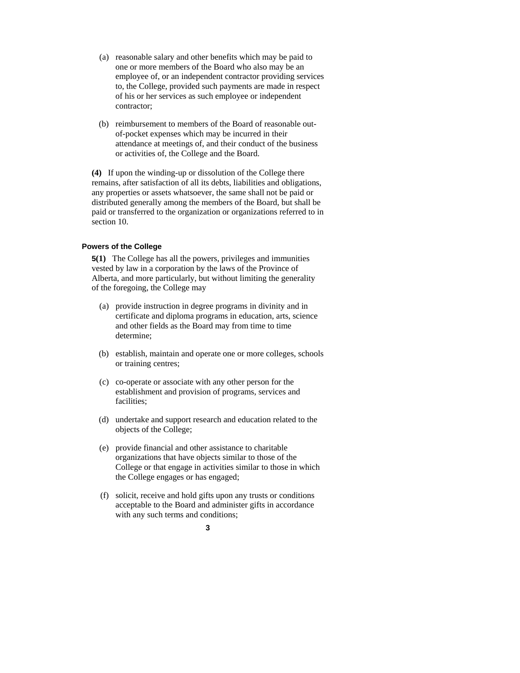- (a) reasonable salary and other benefits which may be paid to one or more members of the Board who also may be an employee of, or an independent contractor providing services to, the College, provided such payments are made in respect of his or her services as such employee or independent contractor;
- (b) reimbursement to members of the Board of reasonable outof-pocket expenses which may be incurred in their attendance at meetings of, and their conduct of the business or activities of, the College and the Board.

**(4)** If upon the winding-up or dissolution of the College there remains, after satisfaction of all its debts, liabilities and obligations, any properties or assets whatsoever, the same shall not be paid or distributed generally among the members of the Board, but shall be paid or transferred to the organization or organizations referred to in section 10.

#### **Powers of the College**

**5(1)** The College has all the powers, privileges and immunities vested by law in a corporation by the laws of the Province of Alberta, and more particularly, but without limiting the generality of the foregoing, the College may

- (a) provide instruction in degree programs in divinity and in certificate and diploma programs in education, arts, science and other fields as the Board may from time to time determine;
- (b) establish, maintain and operate one or more colleges, schools or training centres;
- (c) co-operate or associate with any other person for the establishment and provision of programs, services and facilities;
- (d) undertake and support research and education related to the objects of the College;
- (e) provide financial and other assistance to charitable organizations that have objects similar to those of the College or that engage in activities similar to those in which the College engages or has engaged;
- (f) solicit, receive and hold gifts upon any trusts or conditions acceptable to the Board and administer gifts in accordance with any such terms and conditions;

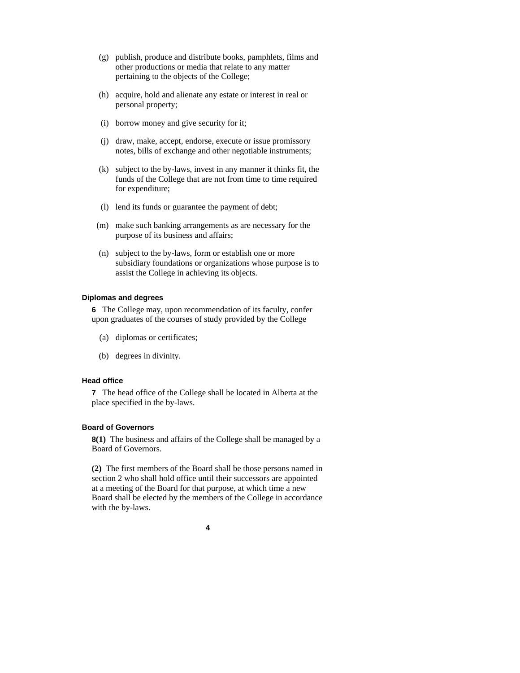- (g) publish, produce and distribute books, pamphlets, films and other productions or media that relate to any matter pertaining to the objects of the College;
- (h) acquire, hold and alienate any estate or interest in real or personal property;
- (i) borrow money and give security for it;
- (j) draw, make, accept, endorse, execute or issue promissory notes, bills of exchange and other negotiable instruments;
- (k) subject to the by-laws, invest in any manner it thinks fit, the funds of the College that are not from time to time required for expenditure;
- (l) lend its funds or guarantee the payment of debt;
- (m) make such banking arrangements as are necessary for the purpose of its business and affairs;
- (n) subject to the by-laws, form or establish one or more subsidiary foundations or organizations whose purpose is to assist the College in achieving its objects.

# **Diplomas and degrees**

**6** The College may, upon recommendation of its faculty, confer upon graduates of the courses of study provided by the College

- (a) diplomas or certificates;
- (b) degrees in divinity.

# **Head office**

**7** The head office of the College shall be located in Alberta at the place specified in the by-laws.

#### **Board of Governors**

**8(1)** The business and affairs of the College shall be managed by a Board of Governors.

**(2)** The first members of the Board shall be those persons named in section 2 who shall hold office until their successors are appointed at a meeting of the Board for that purpose, at which time a new Board shall be elected by the members of the College in accordance with the by-laws.

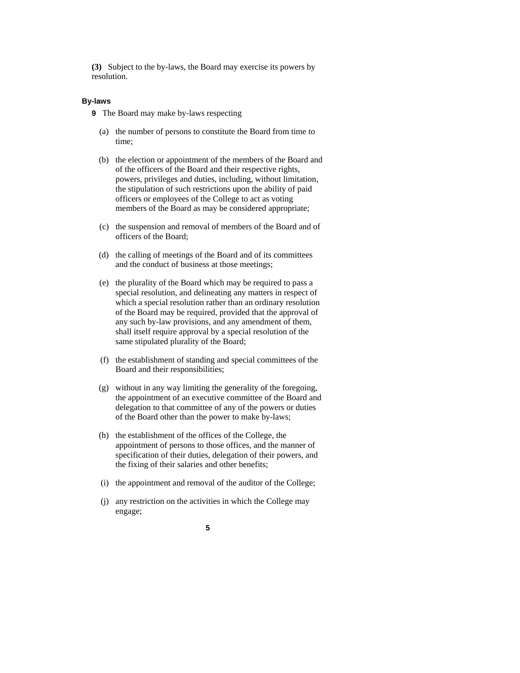**(3)** Subject to the by-laws, the Board may exercise its powers by resolution.

#### **By-laws**

- **9** The Board may make by-laws respecting
	- (a) the number of persons to constitute the Board from time to time;
	- (b) the election or appointment of the members of the Board and of the officers of the Board and their respective rights, powers, privileges and duties, including, without limitation, the stipulation of such restrictions upon the ability of paid officers or employees of the College to act as voting members of the Board as may be considered appropriate;
	- (c) the suspension and removal of members of the Board and of officers of the Board;
	- (d) the calling of meetings of the Board and of its committees and the conduct of business at those meetings;
	- (e) the plurality of the Board which may be required to pass a special resolution, and delineating any matters in respect of which a special resolution rather than an ordinary resolution of the Board may be required, provided that the approval of any such by-law provisions, and any amendment of them, shall itself require approval by a special resolution of the same stipulated plurality of the Board;
	- (f) the establishment of standing and special committees of the Board and their responsibilities;
	- (g) without in any way limiting the generality of the foregoing, the appointment of an executive committee of the Board and delegation to that committee of any of the powers or duties of the Board other than the power to make by-laws;
	- (h) the establishment of the offices of the College, the appointment of persons to those offices, and the manner of specification of their duties, delegation of their powers, and the fixing of their salaries and other benefits;
	- (i) the appointment and removal of the auditor of the College;
	- (j) any restriction on the activities in which the College may engage;
		- **5**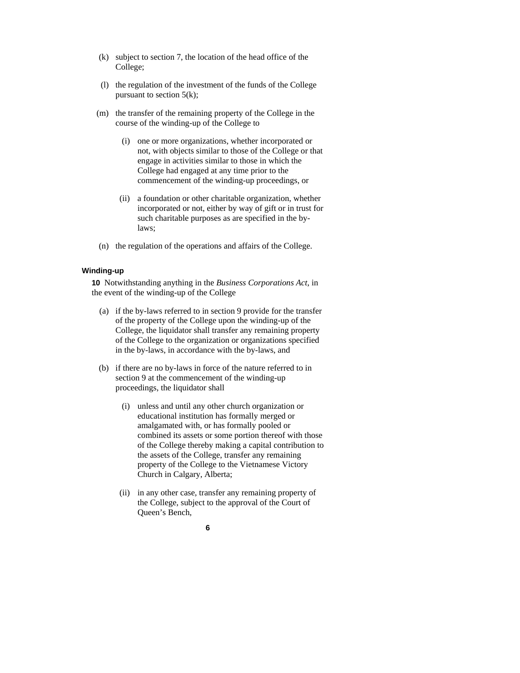- (k) subject to section 7, the location of the head office of the College;
- (l) the regulation of the investment of the funds of the College pursuant to section  $5(k)$ ;
- (m) the transfer of the remaining property of the College in the course of the winding-up of the College to
	- (i) one or more organizations, whether incorporated or not, with objects similar to those of the College or that engage in activities similar to those in which the College had engaged at any time prior to the commencement of the winding-up proceedings, or
	- (ii) a foundation or other charitable organization, whether incorporated or not, either by way of gift or in trust for such charitable purposes as are specified in the bylaws;
- (n) the regulation of the operations and affairs of the College.

# **Winding-up**

**10** Notwithstanding anything in the *Business Corporations Act*, in the event of the winding-up of the College

- (a) if the by-laws referred to in section 9 provide for the transfer of the property of the College upon the winding-up of the College, the liquidator shall transfer any remaining property of the College to the organization or organizations specified in the by-laws, in accordance with the by-laws, and
- (b) if there are no by-laws in force of the nature referred to in section 9 at the commencement of the winding-up proceedings, the liquidator shall
	- (i) unless and until any other church organization or educational institution has formally merged or amalgamated with, or has formally pooled or combined its assets or some portion thereof with those of the College thereby making a capital contribution to the assets of the College, transfer any remaining property of the College to the Vietnamese Victory Church in Calgary, Alberta;
	- (ii) in any other case, transfer any remaining property of the College, subject to the approval of the Court of Queen's Bench,